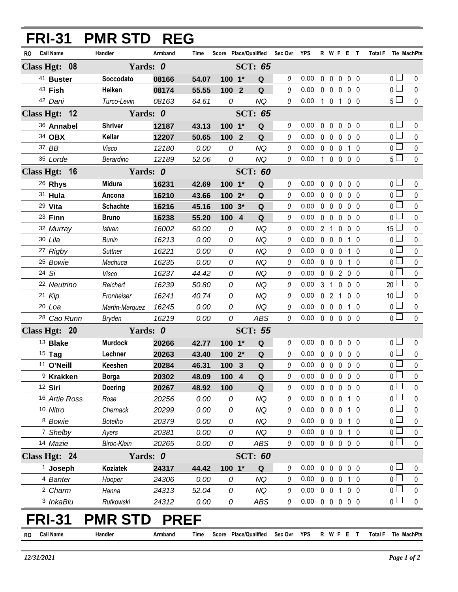| <b>FRI-31</b>                 | <b>PMR STD REG</b> |         |                |                       |  |                |          |                            |                        |              |                |                     |                 |              |
|-------------------------------|--------------------|---------|----------------|-----------------------|--|----------------|----------|----------------------------|------------------------|--------------|----------------|---------------------|-----------------|--------------|
| <b>Call Name</b><br><b>RO</b> | Handler            | Armband | Time           | Score Place/Qualified |  |                | Sec Ovr  | <b>YPS</b>                 |                        |              | R W F E T      | Total F Tie MachPts |                 |              |
| Class Hgt: 08                 | Yards: 0           |         |                |                       |  | <b>SCT: 65</b> |          |                            |                        |              |                |                     |                 |              |
| 41 Buster                     | Soccodato          | 08166   | 54.07          | 100 1*                |  | Q              | $\theta$ | 0.00                       |                        |              | 00000          |                     | $0 -$           | 0            |
| 43 Fish                       | Heiken             | 08174   | 55.55          | 100 2                 |  | Q              | $\theta$ | 0.00                       |                        |              | 0 0 0 0 0      |                     | $\overline{0}$  | $\mathbf 0$  |
| 42 Dani                       | Turco-Levin        | 08163   | 64.61          | 0                     |  | <b>NQ</b>      | 0        | 0.00                       |                        |              | 1 0 1 0 0      |                     | $5\Box$         | $\pmb{0}$    |
| Class Hgt: 12                 | Yards: 0           |         |                |                       |  | <b>SCT: 65</b> |          |                            |                        |              |                |                     |                 |              |
| 36 Annabel                    | <b>Shriver</b>     | 12187   | 43.13          | $100 - 1*$            |  | Q              | 0        | 0.00                       | $0\quad 0\quad 0$      |              | $0\quad 0$     |                     | 0 <sub>0</sub>  | 0            |
| 34 OBX                        | Kellar             | 12207   | 50.65          | 100 2                 |  | Q              | 0        | 0.00                       |                        |              | 00000          |                     | $\overline{0}$  | $\mathbf 0$  |
| 37 BB                         | Visco              | 12180   | 0.00           | 0                     |  | <b>NQ</b>      | $\theta$ | 0.00                       |                        |              | 0 0 0 1 0      |                     | 0 <sup>1</sup>  | $\pmb{0}$    |
| 35 Lorde                      | Berardino          | 12189   | 52.06          | 0                     |  | <b>NQ</b>      | $\Omega$ | 0.00                       |                        |              | 10000          |                     | $5 \Box$        | $\mathbf 0$  |
| Class Hgt: 16                 | Yards: 0           |         | <b>SCT: 60</b> |                       |  |                |          |                            |                        |              |                |                     |                 |              |
| 26 Rhys                       | <b>Midura</b>      | 16231   | 42.69          | $100 - 1*$            |  | Q              | $\theta$ | 0.00                       |                        |              | 00000          |                     | 0 <sub>0</sub>  | 0            |
| $31$ Hula                     | Ancona             | 16210   | 43.66          | 100 2*                |  | Q              | 0        | 0.00                       | $0\quad 0\quad 0\quad$ |              | $0\quad 0$     |                     | $\overline{0}$  | $\mathbf 0$  |
| 29 Vita                       | <b>Schachte</b>    | 16216   | 45.16          | $100.3*$              |  | Q              | 0        | 0.00                       |                        |              | 00000          |                     | 0 <sup>1</sup>  | $\pmb{0}$    |
| 23 Finn                       | <b>Bruno</b>       | 16238   | 55.20          | 100 4                 |  | Q              | 0        | 0.00                       |                        |              | 00000          |                     | 0 <sup>1</sup>  | $\mathbf 0$  |
| 32 Murray                     | Istvan             | 16002   | 60.00          | 0                     |  | <b>NQ</b>      | 0        | 0.00                       |                        |              | 2 1 0 0 0      |                     | $15\perp$       | $\pmb{0}$    |
| 30 Lila                       | Bunin              | 16213   | 0.00           | 0                     |  | NQ             | 0        | 0.00                       | $0\quad 0\quad 0$      |              | 10             |                     | 0 <sub>0</sub>  | $\mathbf 0$  |
| 27 Rigby                      | Suttner            | 16221   | 0.00           | 0                     |  | NQ             | 0        | 0.00                       |                        |              | 0 0 0 1 0      |                     | 0 <sup>1</sup>  | $\pmb{0}$    |
| <sup>25</sup> Bowie           | Machuca            | 16235   | 0.00           | 0                     |  | NQ             | 0        | 0.00                       | $0\quad 0\quad 0$      |              | 10             |                     | 0 <sup>1</sup>  | $\mathbf 0$  |
| 24 Si                         | Visco              | 16237   | 44.42          | 0                     |  | NQ             | 0        | 0.00                       |                        |              | 0 0 2 0 0      |                     | 0 <sup>1</sup>  | $\pmb{0}$    |
| 22 Neutrino                   | Reichert           | 16239   | 50.80          | 0                     |  | NQ             | 0        | 0.00                       |                        |              | 3 1 0 0 0      |                     | 20 <sup>1</sup> | $\mathbf 0$  |
| 21 $Kip$                      | Fronheiser         | 16241   | 40.74          | 0                     |  | <b>NQ</b>      | 0        | 0.00                       | $0 \t2 \t1$            |              | $0\quad 0$     |                     | 10 <sup>1</sup> | $\pmb{0}$    |
| $20$ Loa                      | Martin-Marquez     | 16245   | 0.00           | 0                     |  | <b>NQ</b>      | 0        | 0.00                       |                        |              | 0 0 0 1 0      |                     | 0 <sub>0</sub>  | $\mathbf 0$  |
| <sup>28</sup> Cao Runn        | Bryden             | 16219   | 0.00           | 0                     |  | <b>ABS</b>     | $\theta$ | 0.00                       |                        |              | 00000          |                     | $\overline{0}$  | $\mathbf{0}$ |
| Class Hgt: 20                 | Yards: 0           |         | <b>SCT: 55</b> |                       |  |                |          |                            |                        |              |                |                     |                 |              |
| 13 Blake                      | <b>Murdock</b>     | 20266   | 42.77          | 100 1*                |  | Q              | $\theta$ | 0.00                       |                        |              | 00000          |                     | 0 <sub>1</sub>  | 0            |
| $15$ Tag                      | Lechner            | 20263   | 43.40          | 100 2*                |  | Q              | $\theta$ | 0.00                       |                        |              | 00000          |                     | 0 <sup>1</sup>  | $\mathbf 0$  |
| <sup>11</sup> O'Neill         | Keeshen            | 20284   | 46.31          | 1003                  |  | $\Omega$       | $\theta$ | $0.00 \t0 \t0 \t0 \t0 \t0$ |                        |              |                |                     | 0 <sub>1</sub>  | $\pmb{0}$    |
| <sup>9</sup> Krakken          | <b>Borga</b>       | 20302   | 48.09          | 100 4                 |  | Q              | 0        | 0.00                       |                        |              | 00000          |                     | 0 <sup>1</sup>  | 0            |
| 12 Siri                       | <b>Doering</b>     | 20267   | 48.92          | 100                   |  | Q              | 0        | 0.00                       | $0\quad 0$             | $\mathbf 0$  | $0\quad 0$     |                     | 0 L             | 0            |
| 16 Artie Ross                 | Rose               | 20256   | 0.00           | 0                     |  | <b>NQ</b>      | 0        | 0.00                       | $0\quad 0\quad 0$      |              | $1\quad0$      |                     | 0 L             | 0            |
| 10 Nitro                      | Chernack           | 20299   | 0.00           | 0                     |  | <b>NQ</b>      | 0        | 0.00                       | 0 <sub>0</sub>         | 0            | 1 0            |                     | 0 L             | 0            |
| 8 Bowie                       | <b>Botelho</b>     | 20379   | 0.00           | 0                     |  | <b>NQ</b>      | 0        | 0.00                       | $0\quad 0\quad 0$      |              | 10             |                     | $0-$            | 0            |
| 7 Shelby                      | Ayers              | 20381   | 0.00           | 0                     |  | <b>NQ</b>      | 0        | 0.00                       | $0\quad 0$             | $\mathbf 0$  | 1 0            |                     | 0 <sub>0</sub>  | 0            |
| 14 Mazie                      | Biroc-Klein        | 20265   | 0.00           | 0                     |  | <b>ABS</b>     | 0        | 0.00                       | $0\quad 0\quad 0$      |              | 0 <sub>0</sub> |                     | 0 <sup>1</sup>  | 0            |
| Class Hgt: 24                 | Yards: 0           |         |                |                       |  | <b>SCT: 60</b> |          |                            |                        |              |                |                     |                 |              |
| $1$ Joseph                    | <b>Koziatek</b>    | 24317   | 44.42          | 100 1*                |  | Q              | 0        | 0.00                       |                        |              | 00000          |                     | 0 <sub>1</sub>  | 0            |
| <sup>4</sup> Banter           | Hooper             | 24306   | 0.00           | 0                     |  | ΝQ             | 0        | 0.00                       | $0\quad 0\quad 0$      |              | 10             |                     | 0 <sub>0</sub>  | 0            |
| <sup>2</sup> Charm            | Hanna              | 24313   | 52.04          | 0                     |  | <b>NQ</b>      | 0        | 0.00                       | 0 <sub>0</sub>         | $\mathbf{1}$ | $0\quad 0$     |                     | 0 ∟             | 0            |
| <sup>3</sup> InkaBlu          | Rutkowski          | 24312   | 0.00           | 0                     |  | ABS            | 0        | 0.00                       |                        |              | 00000          |                     | $_0$ $\Box$     | 0            |
| <b>FRI-31</b>                 | <b>PMR STD</b>     |         | <b>PREF</b>    |                       |  |                |          |                            |                        |              |                |                     |                 |              |
| <b>Call Name</b><br>RO        | Handler            | Armband | Time           | Score Place/Qualified |  |                | Sec Ovr  | <b>YPS</b>                 |                        |              | R W F E T      | <b>Total F</b>      | Tie MachPts     |              |